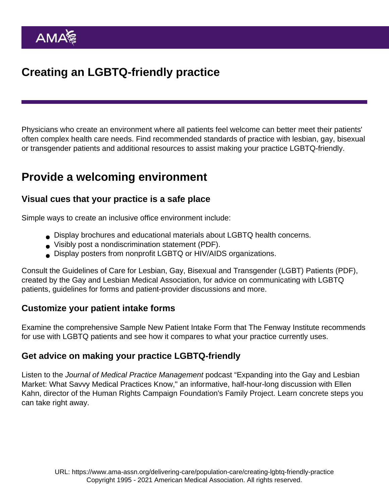# Creating an LGBTQ-friendly practice

Physicians who create an environment where all patients feel welcome can better meet their patients' often complex health care needs. Find recommended standards of practice with lesbian, gay, bisexual or transgender patients and additional resources to assist making your practice LGBTQ-friendly.

## Provide a welcoming environment

#### Visual cues that your practice is a safe place

Simple ways to create an inclusive office environment include:

- Display brochures and educational materials about LGBTQ health concerns.
- Visibly post a [nondiscrimination statement](https://www.ama-assn.org/sites/ama-assn.org/files/corp/media-browser/public/glbt/nondiscrimination_0.pdf) (PDF).
- Display posters from nonprofit LGBTQ or HIV/AIDS organizations.

Consult the [Guidelines of Care for Lesbian, Gay, Bisexual and Transgender \(LGBT\) Patients](http://www.glma.org/_data/n_0001/resources/live/Welcoming Environment.pdf) (PDF), created by the Gay and Lesbian Medical Association, for advice on communicating with LGBTQ patients, guidelines for forms and patient-provider discussions and more.

#### Customize your patient intake forms

Examine the comprehensive Sample New Patient Intake Form that [The Fenway Institute](https://fenwayhealth.org/) recommends for use with LGBTQ patients and see how it compares to what your practice currently uses.

#### Get advice on making your practice LGBTQ-friendly

Listen to the Journal of Medical Practice Management podcast "Expanding into the Gay and Lesbian Market: What Savvy Medical Practices Know," an informative, half-hour-long discussion with Ellen Kahn, director of the Human Rights Campaign Foundation's Family Project. Learn concrete steps you can take right away.